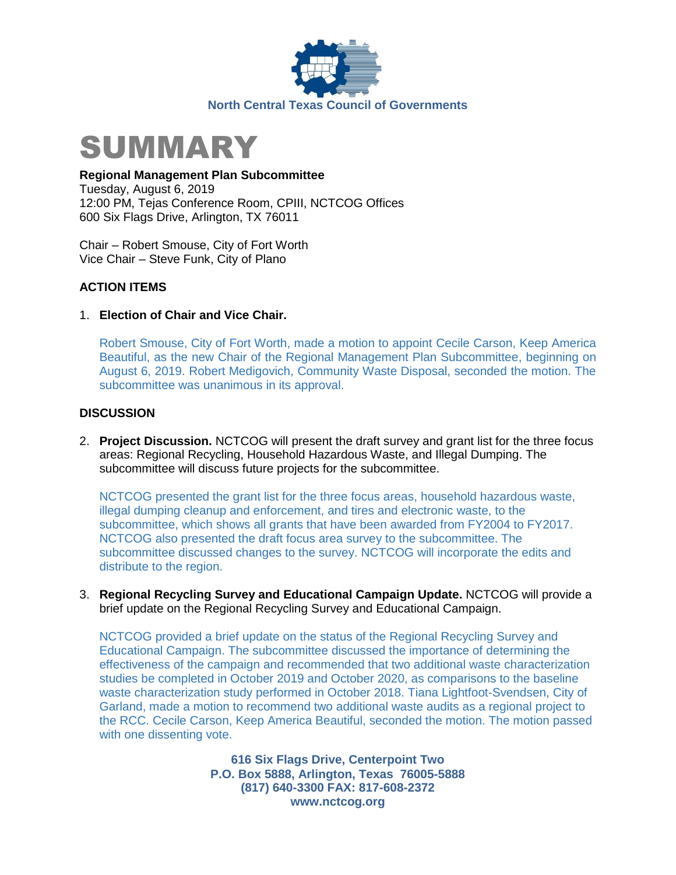



#### **Regional Management Plan Subcommittee**

Tuesday, August 6, 2019 12:00 PM, Tejas Conference Room, CPIII, NCTCOG Offices 600 Six Flags Drive, Arlington, TX 76011

Chair – Robert Smouse, City of Fort Worth Vice Chair – Steve Funk, City of Plano

### **ACTION ITEMS**

#### 1. **Election of Chair and Vice Chair.**

Robert Smouse, City of Fort Worth, made a motion to appoint Cecile Carson, Keep America Beautiful, as the new Chair of the Regional Management Plan Subcommittee, beginning on August 6, 2019. Robert Medigovich, Community Waste Disposal, seconded the motion. The subcommittee was unanimous in its approval.

#### **DISCUSSION**

2. **Project Discussion.** NCTCOG will present the draft survey and grant list for the three focus areas: Regional Recycling, Household Hazardous Waste, and Illegal Dumping. The subcommittee will discuss future projects for the subcommittee.

NCTCOG presented the grant list for the three focus areas, household hazardous waste, illegal dumping cleanup and enforcement, and tires and electronic waste, to the subcommittee, which shows all grants that have been awarded from FY2004 to FY2017. NCTCOG also presented the draft focus area survey to the subcommittee. The subcommittee discussed changes to the survey. NCTCOG will incorporate the edits and distribute to the region.

3. **Regional Recycling Survey and Educational Campaign Update.** NCTCOG will provide a brief update on the Regional Recycling Survey and Educational Campaign.

NCTCOG provided a brief update on the status of the Regional Recycling Survey and Educational Campaign. The subcommittee discussed the importance of determining the effectiveness of the campaign and recommended that two additional waste characterization studies be completed in October 2019 and October 2020, as comparisons to the baseline waste characterization study performed in October 2018. Tiana Lightfoot-Svendsen, City of Garland, made a motion to recommend two additional waste audits as a regional project to the RCC. Cecile Carson, Keep America Beautiful, seconded the motion. The motion passed with one dissenting vote.

> **616 Six Flags Drive, Centerpoint Two P.O. Box 5888, Arlington, Texas 76005-5888 (817) 640-3300 FAX: 817-608-2372 www.nctcog.org**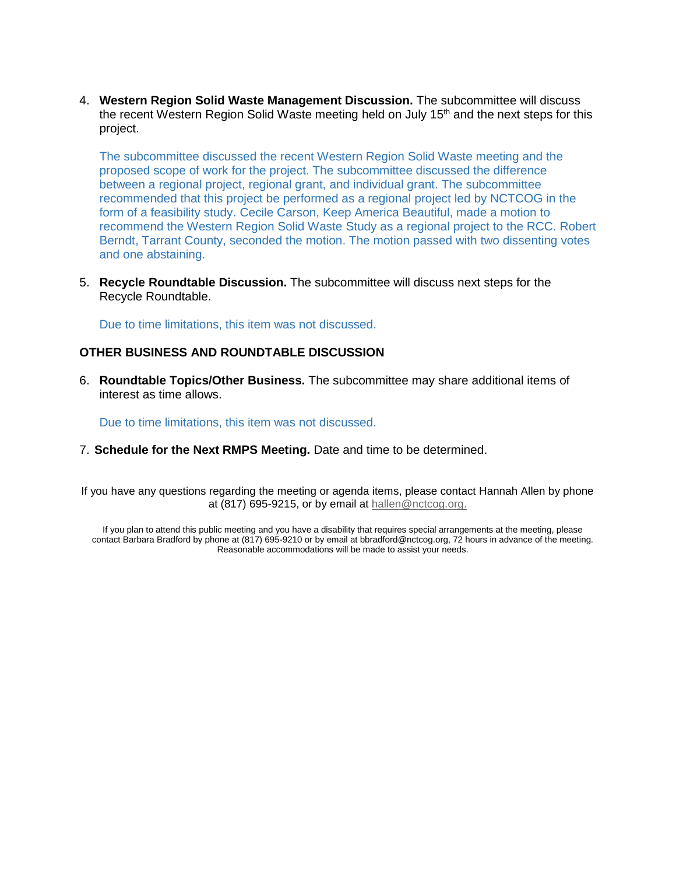4. **Western Region Solid Waste Management Discussion.** The subcommittee will discuss the recent Western Region Solid Waste meeting held on July 15<sup>th</sup> and the next steps for this project.

The subcommittee discussed the recent Western Region Solid Waste meeting and the proposed scope of work for the project. The subcommittee discussed the difference between a regional project, regional grant, and individual grant. The subcommittee recommended that this project be performed as a regional project led by NCTCOG in the form of a feasibility study. Cecile Carson, Keep America Beautiful, made a motion to recommend the Western Region Solid Waste Study as a regional project to the RCC. Robert Berndt, Tarrant County, seconded the motion. The motion passed with two dissenting votes and one abstaining.

5. **Recycle Roundtable Discussion.** The subcommittee will discuss next steps for the Recycle Roundtable.

Due to time limitations, this item was not discussed.

#### **OTHER BUSINESS AND ROUNDTABLE DISCUSSION**

6. **Roundtable Topics/Other Business.** The subcommittee may share additional items of interest as time allows.

Due to time limitations, this item was not discussed.

7. **Schedule for the Next RMPS Meeting.** Date and time to be determined.

If you have any questions regarding the meeting or agenda items, please contact Hannah Allen by phone at (817) 695-9215, or by email at [hallen@nctcog.org.](mailto:hallen@nctcog.org)

If you plan to attend this public meeting and you have a disability that requires special arrangements at the meeting, please contact Barbara Bradford by phone at (817) 695-9210 or by email at bbradford@nctcog.org, 72 hours in advance of the meeting. Reasonable accommodations will be made to assist your needs.